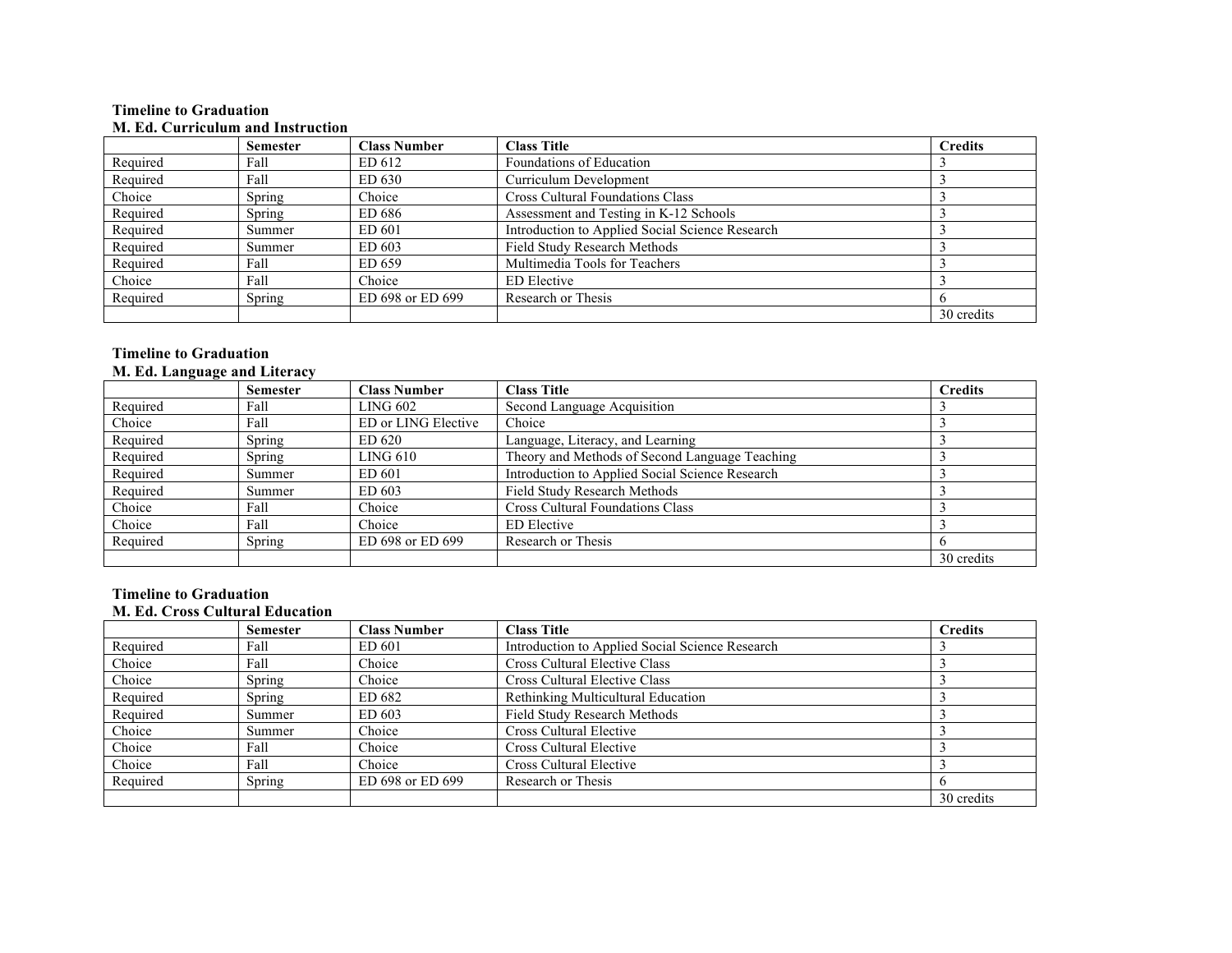### **Timeline to Graduation M. Ed. Curriculum and Instruction**

|          | <b>Semester</b> | <b>Class Number</b> | <b>Class Title</b>                              | <b>Credits</b> |
|----------|-----------------|---------------------|-------------------------------------------------|----------------|
| Required | Fall            | ED 612              | Foundations of Education                        |                |
| Required | Fall            | ED 630              | Curriculum Development                          |                |
| Choice   | Spring          | Choice              | <b>Cross Cultural Foundations Class</b>         |                |
| Required | Spring          | ED 686              | Assessment and Testing in K-12 Schools          |                |
| Required | Summer          | ED 601              | Introduction to Applied Social Science Research |                |
| Required | Summer          | ED 603              | Field Study Research Methods                    |                |
| Required | Fall            | ED 659              | Multimedia Tools for Teachers                   |                |
| Choice   | Fall            | Choice              | <b>ED</b> Elective                              |                |
| Required | Spring          | ED 698 or ED 699    | Research or Thesis                              |                |
|          |                 |                     |                                                 | 30 credits     |

## **Timeline to Graduation M. Ed. Language and Literacy**

| ີ        | <b>Semester</b> | <b>Class Number</b> | <b>Class Title</b>                              | <b>Credits</b> |
|----------|-----------------|---------------------|-------------------------------------------------|----------------|
| Required | Fall            | LING 602            | Second Language Acquisition                     |                |
| Choice   | Fall            | ED or LING Elective | Choice                                          |                |
| Required | Spring          | ED 620              | Language, Literacy, and Learning                |                |
| Required | Spring          | LING 610            | Theory and Methods of Second Language Teaching  |                |
| Required | Summer          | ED 601              | Introduction to Applied Social Science Research |                |
| Required | Summer          | ED 603              | Field Study Research Methods                    |                |
| Choice   | Fall            | Choice              | <b>Cross Cultural Foundations Class</b>         |                |
| Choice   | Fall            | Choice              | ED Elective                                     |                |
| Required | Spring          | ED 698 or ED 699    | Research or Thesis                              |                |
|          |                 |                     |                                                 | 30 credits     |

# **Timeline to Graduation M. Ed. Cross Cultural Education**

|          | <b>Semester</b> | <b>Class Number</b> | <b>Class Title</b>                              | <b>Credits</b> |
|----------|-----------------|---------------------|-------------------------------------------------|----------------|
| Required | Fall            | ED 601              | Introduction to Applied Social Science Research |                |
| Choice   | Fall            | Choice              | Cross Cultural Elective Class                   |                |
| Choice   | Spring          | Choice              | Cross Cultural Elective Class                   |                |
| Required | Spring          | ED 682              | Rethinking Multicultural Education              |                |
| Required | Summer          | ED 603              | <b>Field Study Research Methods</b>             |                |
| Choice   | Summer          | Choice              | Cross Cultural Elective                         |                |
| Choice   | Fall            | Choice              | Cross Cultural Elective                         |                |
| Choice   | Fall            | Choice              | Cross Cultural Elective                         |                |
| Required | Spring          | ED 698 or ED 699    | Research or Thesis                              |                |
|          |                 |                     |                                                 | 30 credits     |